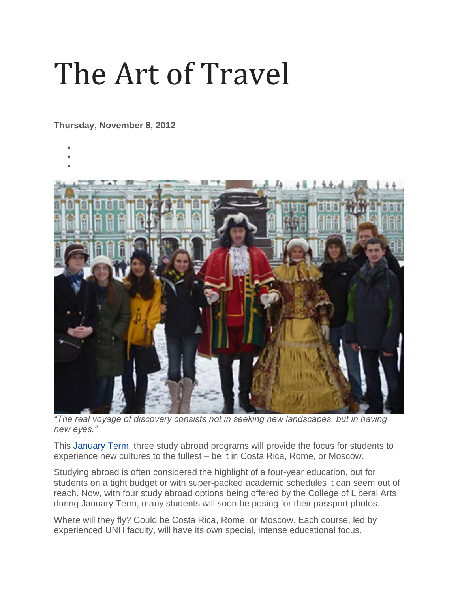## The Art of Travel

**Thursday, November 8, 2012**

- •
- •



*"The real voyage of discovery consists not in seeking new landscapes, but in having new eyes."*

This [January Term,](http://www.unh.edu/januaryterm/) three study abroad programs will provide the focus for students to experience new cultures to the fullest – be it in Costa Rica, Rome, or Moscow.

Studying abroad is often considered the highlight of a four-year education, but for students on a tight budget or with super-packed academic schedules it can seem out of reach. Now, with four study abroad options being offered by the College of Liberal Arts during January Term, many students will soon be posing for their passport photos.

Where will they fly? Could be Costa Rica, Rome, or Moscow. Each course, led by experienced UNH faculty, will have its own special, intense educational focus.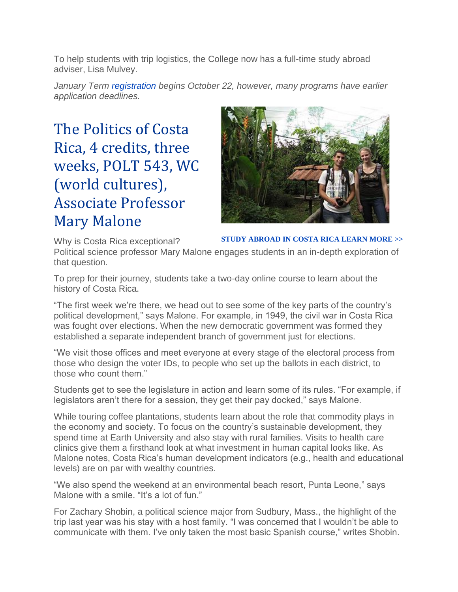To help students with trip logistics, the College now has a full-time study abroad adviser, Lisa Mulvey.

*January Term [registration](http://www.unh.edu/januaryterm/registration.html) begins October 22, however, many programs have earlier application deadlines.*

The Politics of Costa Rica, 4 credits, three weeks, POLT 543, WC (world cultures), Associate Professor Mary Malone



**[STUDY ABROAD IN COSTA RICA LEARN MORE >>](http://www.unh.edu/political-science/index.cfm?ID=5F298FF8-F00A-A833-7012F06C2312316D)**

Why is Costa Rica exceptional? Political science professor Mary Malone engages students in an in-depth exploration of that question.

To prep for their journey, students take a two-day online course to learn about the history of Costa Rica.

"The first week we're there, we head out to see some of the key parts of the country's political development," says Malone. For example, in 1949, the civil war in Costa Rica was fought over elections. When the new democratic government was formed they established a separate independent branch of government just for elections.

"We visit those offices and meet everyone at every stage of the electoral process from those who design the voter IDs, to people who set up the ballots in each district, to those who count them."

Students get to see the legislature in action and learn some of its rules. "For example, if legislators aren't there for a session, they get their pay docked," says Malone.

While touring coffee plantations, students learn about the role that commodity plays in the economy and society. To focus on the country's sustainable development, they spend time at Earth University and also stay with rural families. Visits to health care clinics give them a firsthand look at what investment in human capital looks like. As Malone notes, Costa Rica's human development indicators (e.g., health and educational levels) are on par with wealthy countries.

"We also spend the weekend at an environmental beach resort, Punta Leone," says Malone with a smile. "It's a lot of fun."

For Zachary Shobin, a political science major from Sudbury, Mass., the highlight of the trip last year was his stay with a host family. "I was concerned that I wouldn't be able to communicate with them. I've only taken the most basic Spanish course," writes Shobin.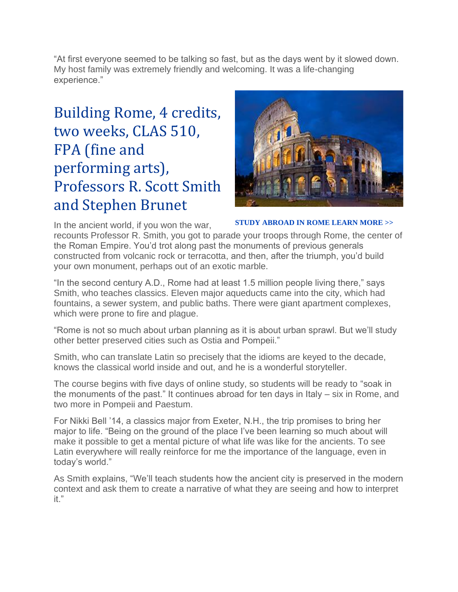"At first everyone seemed to be talking so fast, but as the days went by it slowed down. My host family was extremely friendly and welcoming. It was a life-changing experience."

## Building Rome, 4 credits, two weeks, CLAS 510, FPA (fine and performing arts), Professors R. Scott Smith and Stephen Brunet



**[STUDY ABROAD IN ROME LEARN MORE >>](http://www.unh.edu/languages/index.cfm?ID=DA7272CC-F179-E62A-9C3FF53D39DF1CD4)**

In the ancient world, if you won the war, recounts Professor R. Smith, you got to parade your troops through Rome, the center of the Roman Empire. You'd trot along past the monuments of previous generals constructed from volcanic rock or terracotta, and then, after the triumph, you'd build your own monument, perhaps out of an exotic marble.

"In the second century A.D., Rome had at least 1.5 million people living there," says Smith, who teaches classics. Eleven major aqueducts came into the city, which had fountains, a sewer system, and public baths. There were giant apartment complexes, which were prone to fire and plague.

"Rome is not so much about urban planning as it is about urban sprawl. But we'll study other better preserved cities such as Ostia and Pompeii."

Smith, who can translate Latin so precisely that the idioms are keyed to the decade, knows the classical world inside and out, and he is a wonderful storyteller.

The course begins with five days of online study, so students will be ready to "soak in the monuments of the past." It continues abroad for ten days in Italy – six in Rome, and two more in Pompeii and Paestum.

For Nikki Bell '14, a classics major from Exeter, N.H., the trip promises to bring her major to life. "Being on the ground of the place I've been learning so much about will make it possible to get a mental picture of what life was like for the ancients. To see Latin everywhere will really reinforce for me the importance of the language, even in today's world."

As Smith explains, "We'll teach students how the ancient city is preserved in the modern context and ask them to create a narrative of what they are seeing and how to interpret it."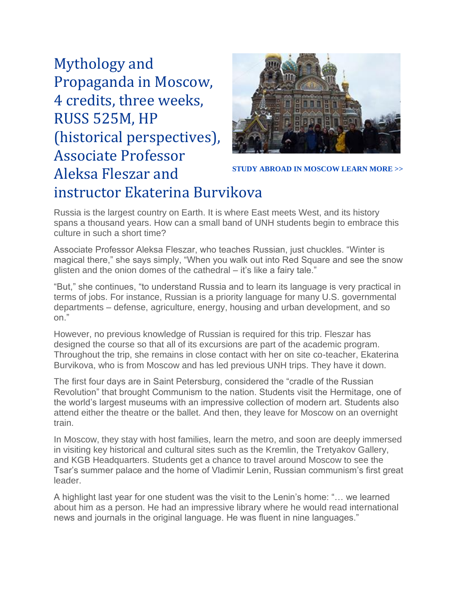Mythology and Propaganda in Moscow, 4 credits, three weeks, RUSS 525M, HP (historical perspectives), Associate Professor Aleksa Fleszar and instructor Ekaterina Burvikova



**[STUDY ABROAD IN MOSCOW LEARN MORE >>](http://www.unh.edu/languages/index.cfm?ID=4432B340-C3CA-93E3-1023C23FFFE8CA67)**

Russia is the largest country on Earth. It is where East meets West, and its history spans a thousand years. How can a small band of UNH students begin to embrace this culture in such a short time?

Associate Professor Aleksa Fleszar, who teaches Russian, just chuckles. "Winter is magical there," she says simply, "When you walk out into Red Square and see the snow glisten and the onion domes of the cathedral – it's like a fairy tale."

"But," she continues, "to understand Russia and to learn its language is very practical in terms of jobs. For instance, Russian is a priority language for many U.S. governmental departments – defense, agriculture, energy, housing and urban development, and so on."

However, no previous knowledge of Russian is required for this trip. Fleszar has designed the course so that all of its excursions are part of the academic program. Throughout the trip, she remains in close contact with her on site co-teacher, Ekaterina Burvikova, who is from Moscow and has led previous UNH trips. They have it down.

The first four days are in Saint Petersburg, considered the "cradle of the Russian Revolution" that brought Communism to the nation. Students visit the Hermitage, one of the world's largest museums with an impressive collection of modern art. Students also attend either the theatre or the ballet. And then, they leave for Moscow on an overnight train.

In Moscow, they stay with host families, learn the metro, and soon are deeply immersed in visiting key historical and cultural sites such as the Kremlin, the Tretyakov Gallery, and KGB Headquarters. Students get a chance to travel around Moscow to see the Tsar's summer palace and the home of Vladimir Lenin, Russian communism's first great leader.

A highlight last year for one student was the visit to the Lenin's home: "… we learned about him as a person. He had an impressive library where he would read international news and journals in the original language. He was fluent in nine languages."